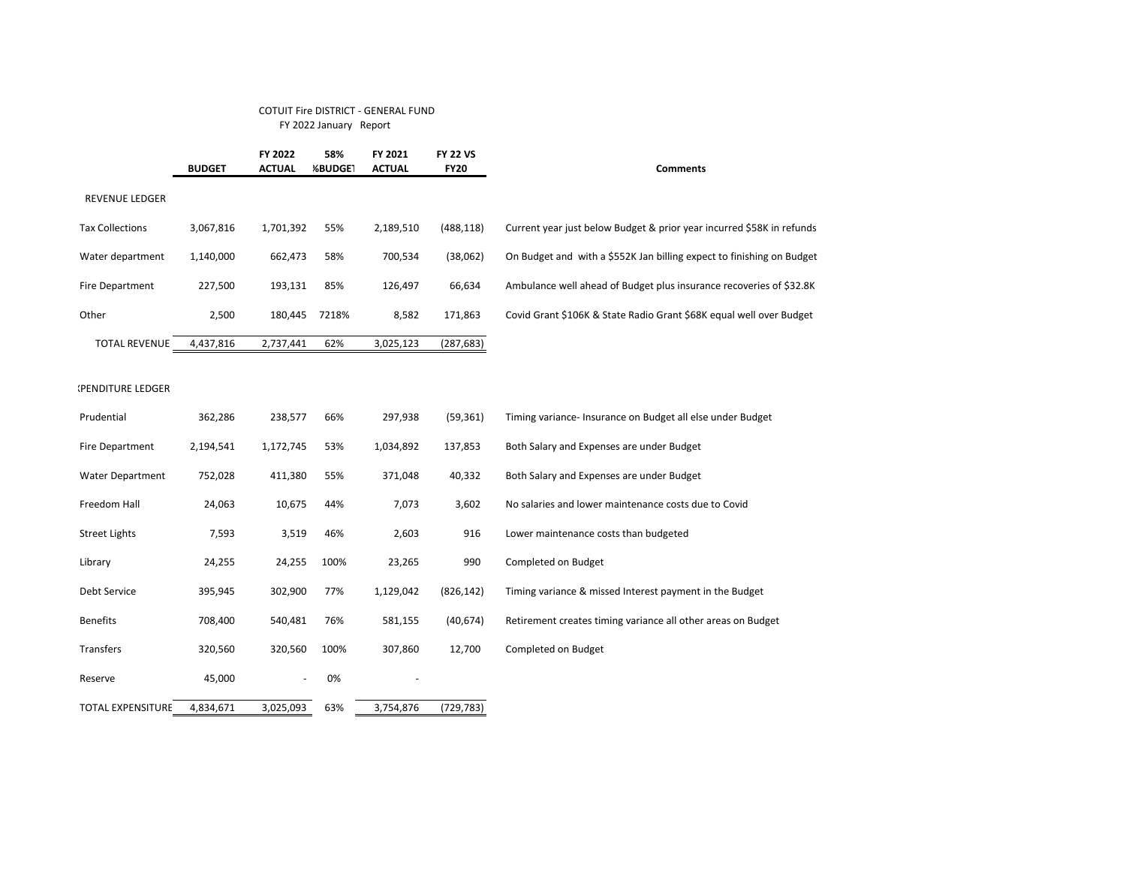## COTUIT Fire DISTRICT - GENERAL FUND FY 2022 January Report

|                          | <b>BUDGET</b> | FY 2022<br><b>ACTUAL</b> | 58%<br><b>%BUDGE1</b> | FY 2021<br><b>ACTUAL</b> | <b>FY 22 VS</b><br><b>FY20</b> | <b>Comments</b>                                                       |
|--------------------------|---------------|--------------------------|-----------------------|--------------------------|--------------------------------|-----------------------------------------------------------------------|
| REVENUE LEDGER           |               |                          |                       |                          |                                |                                                                       |
| <b>Tax Collections</b>   | 3,067,816     | 1,701,392                | 55%                   | 2,189,510                | (488, 118)                     | Current year just below Budget & prior year incurred \$58K in refunds |
| Water department         | 1,140,000     | 662,473                  | 58%                   | 700,534                  | (38,062)                       | On Budget and with a \$552K Jan billing expect to finishing on Budget |
| Fire Department          | 227,500       | 193,131                  | 85%                   | 126,497                  | 66,634                         | Ambulance well ahead of Budget plus insurance recoveries of \$32.8K   |
| Other                    | 2,500         | 180,445                  | 7218%                 | 8,582                    | 171,863                        | Covid Grant \$106K & State Radio Grant \$68K equal well over Budget   |
| <b>TOTAL REVENUE</b>     | 4,437,816     | 2,737,441                | 62%                   | 3,025,123                | (287, 683)                     |                                                                       |
| (PENDITURE LEDGER        |               |                          |                       |                          |                                |                                                                       |
| Prudential               | 362,286       | 238,577                  | 66%                   | 297,938                  | (59, 361)                      | Timing variance- Insurance on Budget all else under Budget            |
| Fire Department          | 2,194,541     | 1,172,745                | 53%                   | 1,034,892                | 137,853                        | Both Salary and Expenses are under Budget                             |
| <b>Water Department</b>  | 752,028       | 411,380                  | 55%                   | 371,048                  | 40,332                         | Both Salary and Expenses are under Budget                             |
| Freedom Hall             | 24,063        | 10,675                   | 44%                   | 7,073                    | 3,602                          | No salaries and lower maintenance costs due to Covid                  |
| <b>Street Lights</b>     | 7,593         | 3,519                    | 46%                   | 2,603                    | 916                            | Lower maintenance costs than budgeted                                 |
| Library                  | 24,255        | 24,255                   | 100%                  | 23,265                   | 990                            | Completed on Budget                                                   |
| Debt Service             | 395,945       | 302,900                  | 77%                   | 1,129,042                | (826, 142)                     | Timing variance & missed Interest payment in the Budget               |
| <b>Benefits</b>          | 708,400       | 540,481                  | 76%                   | 581,155                  | (40, 674)                      | Retirement creates timing variance all other areas on Budget          |
| Transfers                | 320,560       | 320,560                  | 100%                  | 307,860                  | 12,700                         | Completed on Budget                                                   |
| Reserve                  | 45,000        |                          | 0%                    |                          |                                |                                                                       |
| <b>TOTAL EXPENSITURE</b> | 4,834,671     | 3,025,093                | 63%                   | 3,754,876                | (729, 783)                     |                                                                       |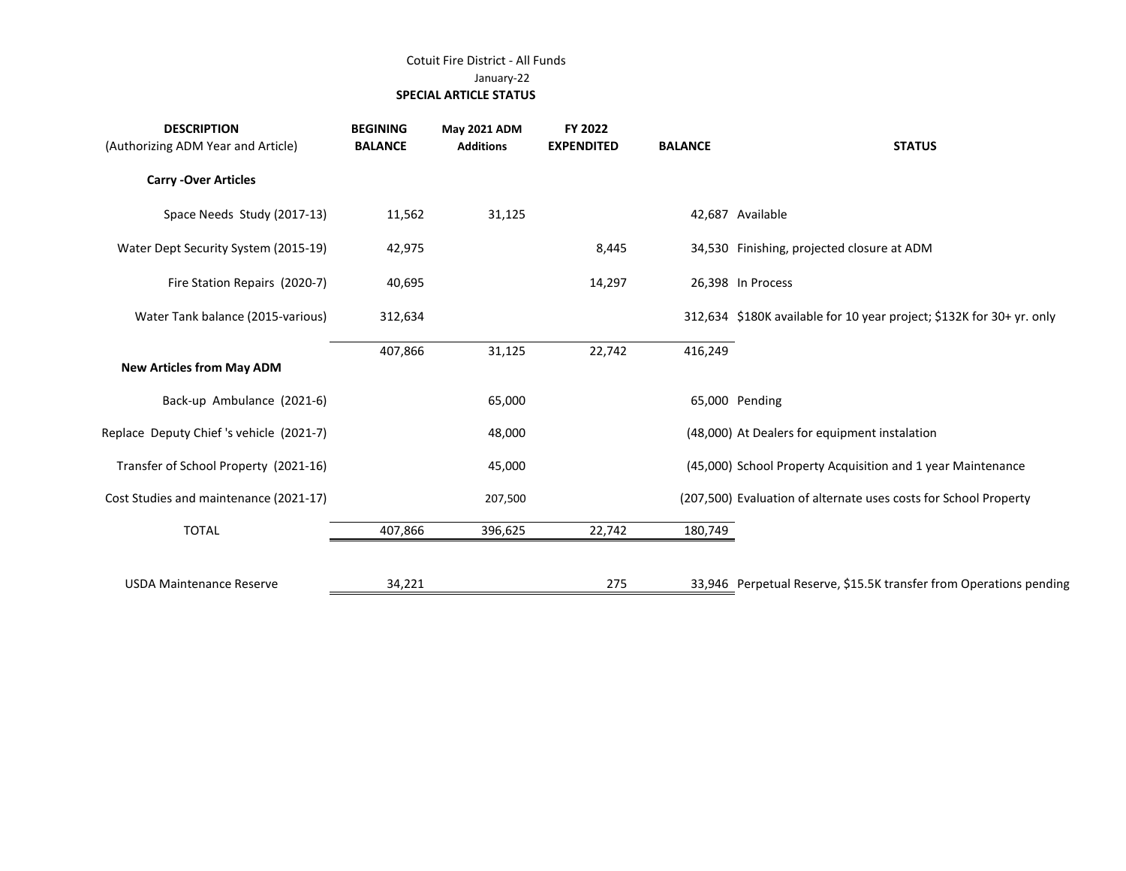## Cotuit Fire District - All Funds January-22  **SPECIAL ARTICLE STATUS**

| <b>DESCRIPTION</b><br>(Authorizing ADM Year and Article) | <b>BEGINING</b><br><b>BALANCE</b> | May 2021 ADM<br><b>Additions</b> | FY 2022<br><b>EXPENDITED</b> | <b>BALANCE</b> | <b>STATUS</b>                                                         |
|----------------------------------------------------------|-----------------------------------|----------------------------------|------------------------------|----------------|-----------------------------------------------------------------------|
| <b>Carry - Over Articles</b>                             |                                   |                                  |                              |                |                                                                       |
| Space Needs Study (2017-13)                              | 11,562                            | 31,125                           |                              |                | 42,687 Available                                                      |
| Water Dept Security System (2015-19)                     | 42,975                            |                                  | 8,445                        |                | 34,530 Finishing, projected closure at ADM                            |
| Fire Station Repairs (2020-7)                            | 40,695                            |                                  | 14,297                       |                | 26,398 In Process                                                     |
| Water Tank balance (2015-various)                        | 312,634                           |                                  |                              |                | 312,634 \$180K available for 10 year project; \$132K for 30+ yr. only |
| <b>New Articles from May ADM</b>                         | 407,866                           | 31,125                           | 22,742                       | 416,249        |                                                                       |
| Back-up Ambulance (2021-6)                               |                                   | 65,000                           |                              |                | 65,000 Pending                                                        |
| Replace Deputy Chief's vehicle (2021-7)                  |                                   | 48,000                           |                              |                | (48,000) At Dealers for equipment instalation                         |
| Transfer of School Property (2021-16)                    |                                   | 45,000                           |                              |                | (45,000) School Property Acquisition and 1 year Maintenance           |
| Cost Studies and maintenance (2021-17)                   |                                   | 207,500                          |                              |                | (207,500) Evaluation of alternate uses costs for School Property      |
| <b>TOTAL</b>                                             | 407,866                           | 396,625                          | 22,742                       | 180,749        |                                                                       |
| <b>USDA Maintenance Reserve</b>                          | 34,221                            |                                  | 275                          |                | 33,946 Perpetual Reserve, \$15.5K transfer from Operations pending    |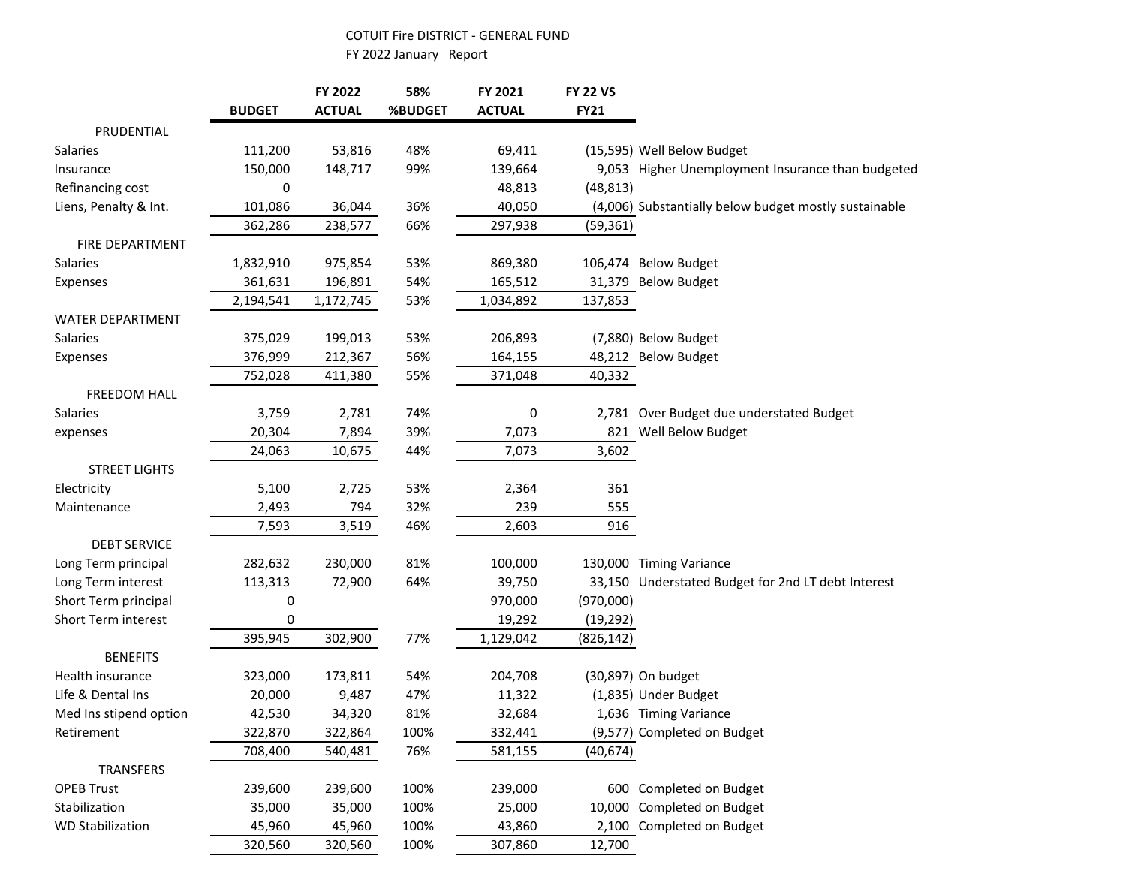## COTUIT Fire DISTRICT - GENERAL FUND

FY 2022 January Report

|                         | <b>BUDGET</b> | FY 2022<br><b>ACTUAL</b> | 58%<br>%BUDGET | FY 2021<br><b>ACTUAL</b> | <b>FY 22 VS</b><br><b>FY21</b> |                                                       |
|-------------------------|---------------|--------------------------|----------------|--------------------------|--------------------------------|-------------------------------------------------------|
| PRUDENTIAL              |               |                          |                |                          |                                |                                                       |
| Salaries                | 111,200       | 53,816                   | 48%            | 69,411                   |                                | (15,595) Well Below Budget                            |
| Insurance               | 150,000       | 148,717                  | 99%            | 139,664                  |                                | 9,053 Higher Unemployment Insurance than budgeted     |
| Refinancing cost        | 0             |                          |                | 48,813                   | (48, 813)                      |                                                       |
| Liens, Penalty & Int.   | 101,086       | 36,044                   | 36%            | 40,050                   |                                | (4,006) Substantially below budget mostly sustainable |
|                         | 362,286       | 238,577                  | 66%            | 297,938                  | (59, 361)                      |                                                       |
| FIRE DEPARTMENT         |               |                          |                |                          |                                |                                                       |
| Salaries                | 1,832,910     | 975,854                  | 53%            | 869,380                  |                                | 106,474 Below Budget                                  |
| Expenses                | 361,631       | 196,891                  | 54%            | 165,512                  |                                | 31,379 Below Budget                                   |
|                         | 2,194,541     | 1,172,745                | 53%            | 1,034,892                | 137,853                        |                                                       |
| WATER DEPARTMENT        |               |                          |                |                          |                                |                                                       |
| <b>Salaries</b>         | 375,029       | 199,013                  | 53%            | 206,893                  |                                | (7,880) Below Budget                                  |
| Expenses                | 376,999       | 212,367                  | 56%            | 164,155                  |                                | 48,212 Below Budget                                   |
|                         | 752,028       | 411,380                  | 55%            | 371,048                  | 40,332                         |                                                       |
| <b>FREEDOM HALL</b>     |               |                          |                |                          |                                |                                                       |
| Salaries                | 3,759         | 2,781                    | 74%            | 0                        |                                | 2,781 Over Budget due understated Budget              |
| expenses                | 20,304        | 7,894                    | 39%            | 7,073                    |                                | 821 Well Below Budget                                 |
|                         | 24,063        | 10,675                   | 44%            | 7,073                    | 3,602                          |                                                       |
| <b>STREET LIGHTS</b>    |               |                          |                |                          |                                |                                                       |
| Electricity             | 5,100         | 2,725                    | 53%            | 2,364                    | 361                            |                                                       |
| Maintenance             | 2,493         | 794                      | 32%            | 239                      | 555                            |                                                       |
|                         | 7,593         | 3,519                    | 46%            | 2,603                    | 916                            |                                                       |
| <b>DEBT SERVICE</b>     |               |                          |                |                          |                                |                                                       |
| Long Term principal     | 282,632       | 230,000                  | 81%            | 100,000                  |                                | 130,000 Timing Variance                               |
| Long Term interest      | 113,313       | 72,900                   | 64%            | 39,750                   |                                | 33,150 Understated Budget for 2nd LT debt Interest    |
| Short Term principal    | 0             |                          |                | 970,000                  | (970,000)                      |                                                       |
| Short Term interest     | 0             |                          |                | 19,292                   | (19, 292)                      |                                                       |
|                         | 395,945       | 302,900                  | 77%            | 1,129,042                | (826, 142)                     |                                                       |
| <b>BENEFITS</b>         |               |                          |                |                          |                                |                                                       |
| Health insurance        | 323,000       | 173,811                  | 54%            | 204,708                  |                                | (30,897) On budget                                    |
| Life & Dental Ins       | 20,000        | 9,487                    | 47%            | 11,322                   |                                | (1,835) Under Budget                                  |
| Med Ins stipend option  | 42,530        | 34,320                   | 81%            | 32,684                   |                                | 1,636 Timing Variance                                 |
| Retirement              | 322,870       | 322,864                  | 100%           | 332,441                  |                                | (9,577) Completed on Budget                           |
|                         | 708,400       | 540,481                  | 76%            | 581,155                  | (40, 674)                      |                                                       |
| <b>TRANSFERS</b>        |               |                          |                |                          |                                |                                                       |
| <b>OPEB Trust</b>       | 239,600       | 239,600                  | 100%           | 239,000                  |                                | 600 Completed on Budget                               |
| Stabilization           | 35,000        | 35,000                   | 100%           | 25,000                   |                                | 10,000 Completed on Budget                            |
| <b>WD Stabilization</b> | 45,960        | 45,960                   | 100%           | 43,860                   |                                | 2,100 Completed on Budget                             |
|                         | 320,560       | 320,560                  | 100%           | 307,860                  | 12,700                         |                                                       |